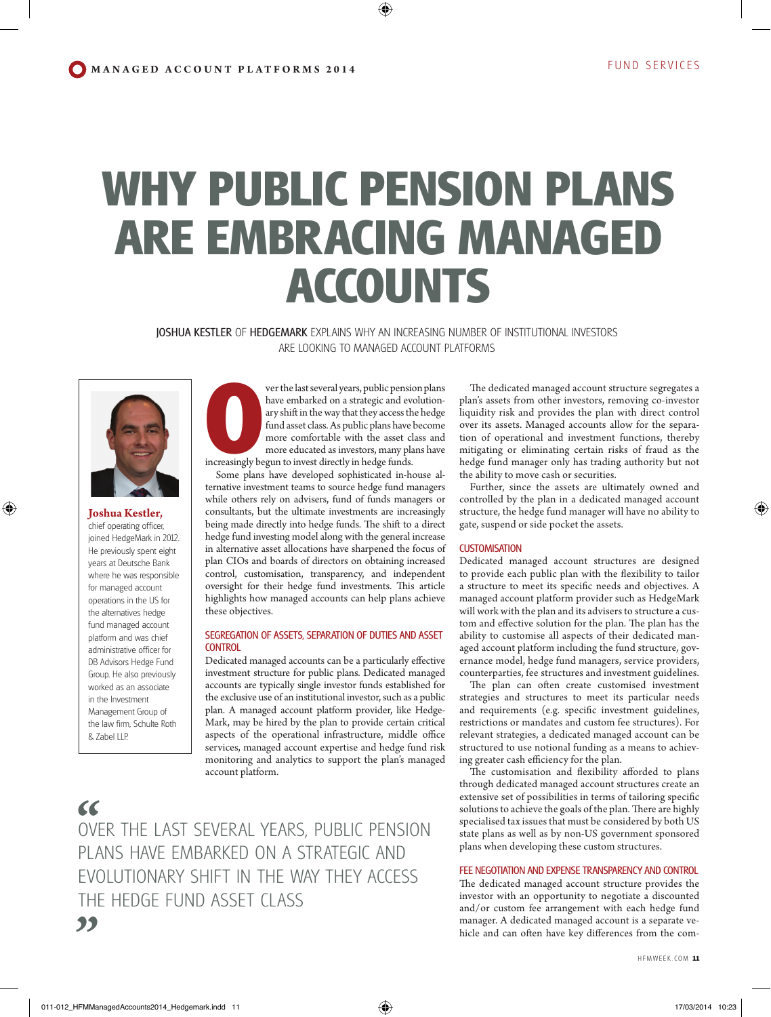# **WHY PUBLIC PENSION PLANS ARE EMBRACING MANAGED ACCOUNTS**

JOSHUA KESTLER OF HEDGEMARK EXPLAINS WHY AN INCREASING NUMBER OF INSTITUTIONAL INVESTORS ARE LOOKING TO MANAGED ACCOUNT PLATFORMS



#### **Joshua Kestler,**

chief operating officer, joined HedgeMark in 2012. He previously spent eight years at Deutsche Bank where he was responsible for managed account operations in the US for the alternatives hedge fund managed account platform and was chief administrative officer for DB Advisors Hedge Fund Group. He also previously worked as an associate in the Investment Management Group of the law firm, Schulte Roth & Zabel LLP.

Fig. 2. The last several years, public pension and every shift in the way that they access the fund asset class. As public plans have lemore comfortable with the asset class increasingly begun to invest directly in hedge f ver the last several years, public pension plans have embarked on a strategic and evolutionary shift in the way that they access the hedge fund asset class. As public plans have become more comfortable with the asset class and more educated as investors, many plans have

Some plans have developed sophisticated in-house alternative investment teams to source hedge fund managers while others rely on advisers, fund of funds managers or consultants, but the ultimate investments are increasingly being made directly into hedge funds. The shift to a direct hedge fund investing model along with the general increase in alternative asset allocations have sharpened the focus of plan CIOs and boards of directors on obtaining increased control, customisation, transparency, and independent oversight for their hedge fund investments. This article highlights how managed accounts can help plans achieve these objectives.

#### SEGREGATION OF ASSETS, SEPARATION OF DUTIES AND ASSET **CONTROL**

Dedicated managed accounts can be a particularly effective investment structure for public plans. Dedicated managed accounts are typically single investor funds established for the exclusive use of an institutional investor, such as a public plan. A managed account platform provider, like Hedge-Mark, may be hired by the plan to provide certain critical aspects of the operational infrastructure, middle office services, managed account expertise and hedge fund risk monitoring and analytics to support the plan's managed account platform.

 $\alpha$ OVER THE LAST SEVERAL YEARS, PUBLIC PENSION PLANS HAVE EMBARKED ON A STRATEGIC AND EVOLUTIONARY SHIFT IN THE WAY THEY ACCESS THE HEDGE FUND ASSET CLASS **"**

The dedicated managed account structure segregates a plan's assets from other investors, removing co-investor liquidity risk and provides the plan with direct control over its assets. Managed accounts allow for the separation of operational and investment functions, thereby mitigating or eliminating certain risks of fraud as the hedge fund manager only has trading authority but not the ability to move cash or securities.

Further, since the assets are ultimately owned and controlled by the plan in a dedicated managed account structure, the hedge fund manager will have no ability to gate, suspend or side pocket the assets.

### **CUSTOMISATION**

Dedicated managed account structures are designed to provide each public plan with the flexibility to tailor a structure to meet its specific needs and objectives. A managed account platform provider such as HedgeMark will work with the plan and its advisers to structure a custom and effective solution for the plan. The plan has the ability to customise all aspects of their dedicated managed account platform including the fund structure, governance model, hedge fund managers, service providers, counterparties, fee structures and investment guidelines.

The plan can often create customised investment strategies and structures to meet its particular needs and requirements (e.g. specific investment guidelines, restrictions or mandates and custom fee structures). For relevant strategies, a dedicated managed account can be structured to use notional funding as a means to achieving greater cash efficiency for the plan.

The customisation and flexibility afforded to plans through dedicated managed account structures create an extensive set of possibilities in terms of tailoring specific solutions to achieve the goals of the plan. There are highly specialised tax issues that must be considered by both US state plans as well as by non-US government sponsored plans when developing these custom structures.

#### FEE NEGOTIATION AND EXPENSE TRANSPARENCY AND CONTROL

The dedicated managed account structure provides the investor with an opportunity to negotiate a discounted and/or custom fee arrangement with each hedge fund manager. A dedicated managed account is a separate vehicle and can often have key differences from the com